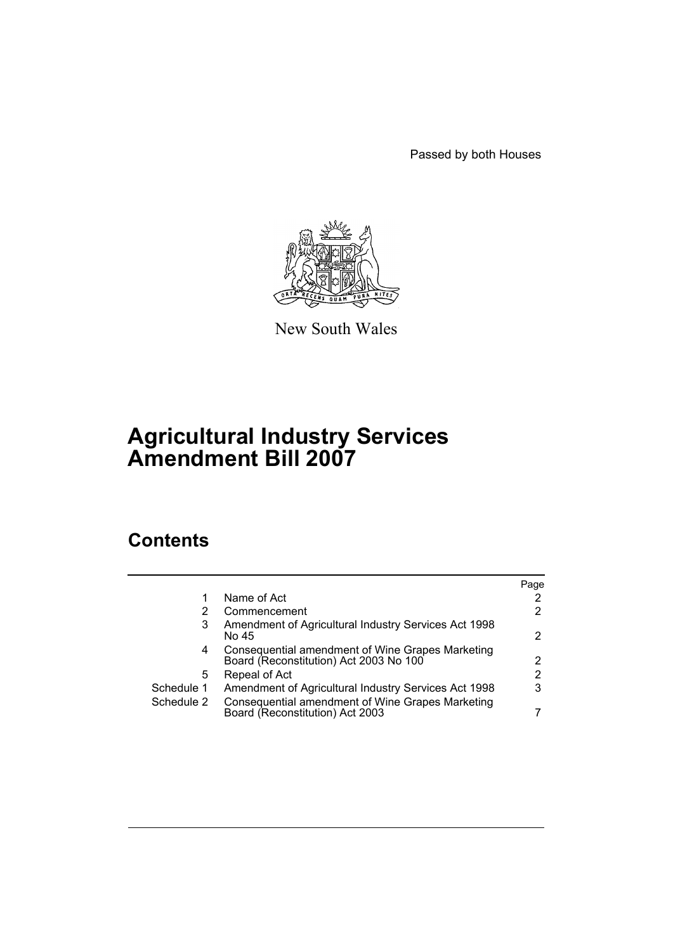Passed by both Houses



New South Wales

# **Agricultural Industry Services Amendment Bill 2007**

## **Contents**

|            |                                                                                            | Page                  |
|------------|--------------------------------------------------------------------------------------------|-----------------------|
|            | Name of Act                                                                                | 2                     |
| 2          | Commencement                                                                               | $\mathbf{2}^{\circ}$  |
| 3          | Amendment of Agricultural Industry Services Act 1998<br>No 45                              | 2                     |
| 4          | Consequential amendment of Wine Grapes Marketing<br>Board (Reconstitution) Act 2003 No 100 | $\mathbf{2}^{\circ}$  |
| 5          | Repeal of Act                                                                              | $\mathbf{2}^{\prime}$ |
| Schedule 1 | Amendment of Agricultural Industry Services Act 1998                                       | 3                     |
| Schedule 2 | Consequential amendment of Wine Grapes Marketing<br>Board (Reconstitution) Act 2003        |                       |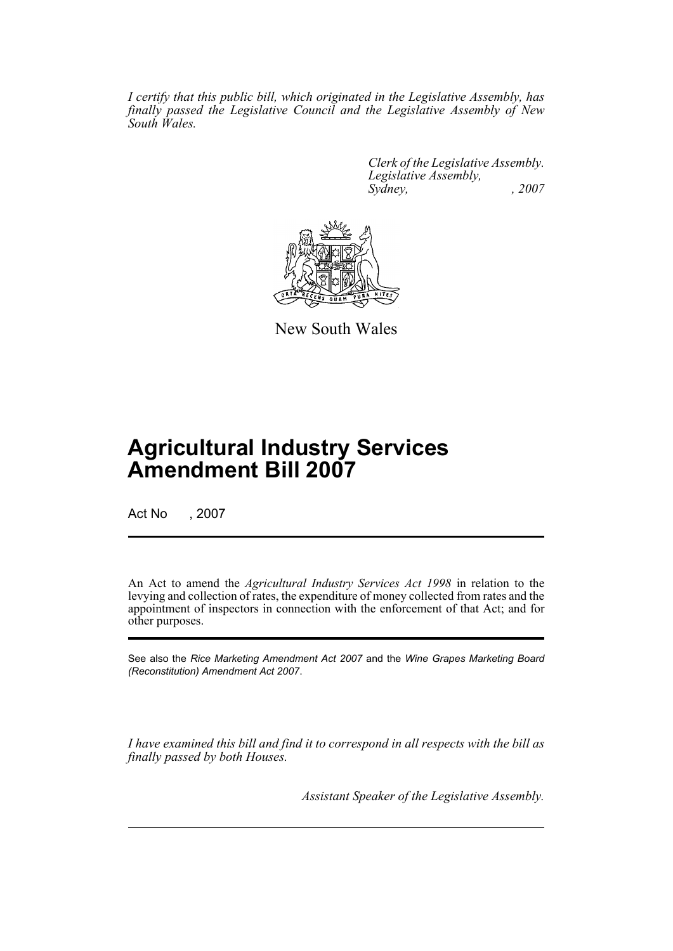*I certify that this public bill, which originated in the Legislative Assembly, has finally passed the Legislative Council and the Legislative Assembly of New South Wales.*

> *Clerk of the Legislative Assembly. Legislative Assembly, Sydney, , 2007*



New South Wales

## **Agricultural Industry Services Amendment Bill 2007**

Act No , 2007

An Act to amend the *Agricultural Industry Services Act 1998* in relation to the levying and collection of rates, the expenditure of money collected from rates and the appointment of inspectors in connection with the enforcement of that Act; and for other purposes.

See also the *Rice Marketing Amendment Act 2007* and the *Wine Grapes Marketing Board (Reconstitution) Amendment Act 2007*.

*I have examined this bill and find it to correspond in all respects with the bill as finally passed by both Houses.*

*Assistant Speaker of the Legislative Assembly.*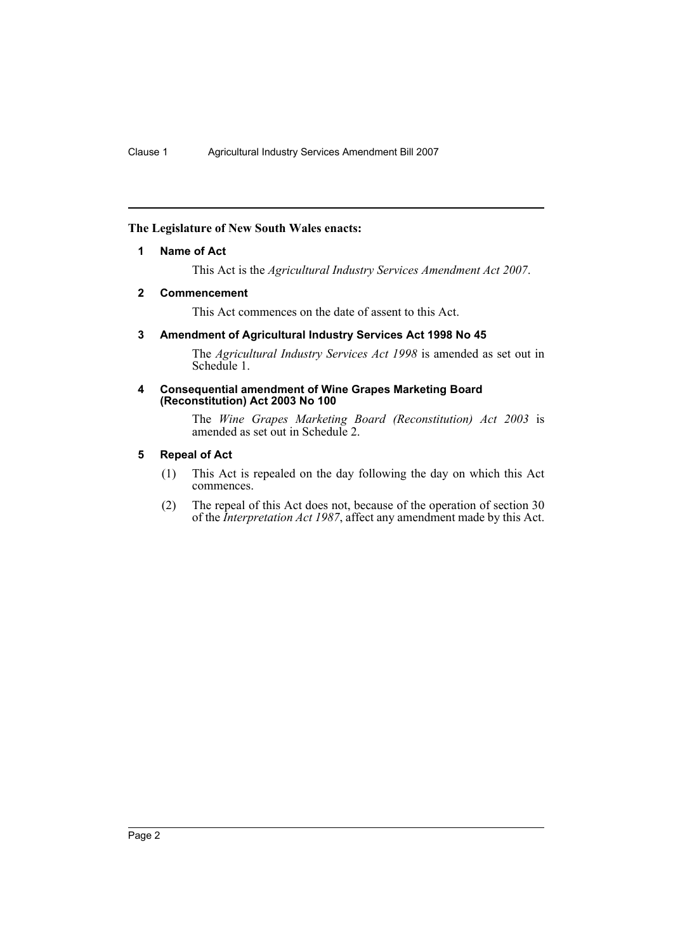#### <span id="page-2-0"></span>**The Legislature of New South Wales enacts:**

#### **1 Name of Act**

This Act is the *Agricultural Industry Services Amendment Act 2007*.

#### <span id="page-2-1"></span>**2 Commencement**

This Act commences on the date of assent to this Act.

#### <span id="page-2-2"></span>**3 Amendment of Agricultural Industry Services Act 1998 No 45**

The *Agricultural Industry Services Act 1998* is amended as set out in Schedule 1.

#### <span id="page-2-3"></span>**4 Consequential amendment of Wine Grapes Marketing Board (Reconstitution) Act 2003 No 100**

The *Wine Grapes Marketing Board (Reconstitution) Act 2003* is amended as set out in Schedule 2.

#### <span id="page-2-4"></span>**5 Repeal of Act**

- (1) This Act is repealed on the day following the day on which this Act commences.
- (2) The repeal of this Act does not, because of the operation of section 30 of the *Interpretation Act 1987*, affect any amendment made by this Act.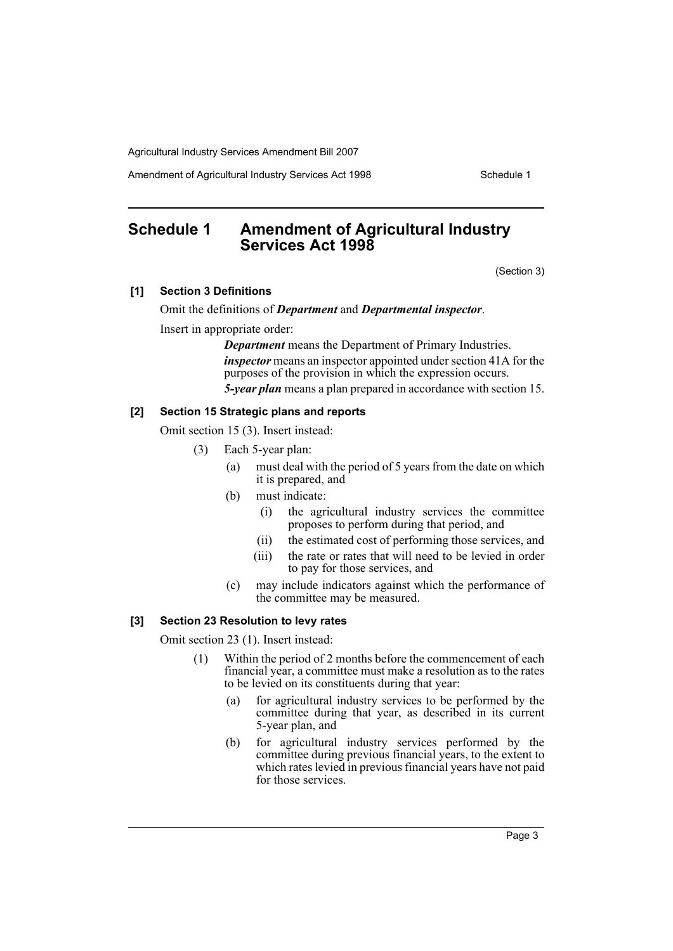Amendment of Agricultural Industry Services Act 1998 Schedule 1

## <span id="page-3-0"></span>**Schedule 1 Amendment of Agricultural Industry Services Act 1998**

(Section 3)

#### **[1] Section 3 Definitions**

Omit the definitions of *Department* and *Departmental inspector*.

Insert in appropriate order:

*Department* means the Department of Primary Industries. *inspector* means an inspector appointed under section 41A for the purposes of the provision in which the expression occurs. *5-year plan* means a plan prepared in accordance with section 15.

#### **[2] Section 15 Strategic plans and reports**

Omit section 15 (3). Insert instead:

- (3) Each 5-year plan:
	- (a) must deal with the period of 5 years from the date on which it is prepared, and
	- (b) must indicate:
		- (i) the agricultural industry services the committee proposes to perform during that period, and
		- (ii) the estimated cost of performing those services, and
		- (iii) the rate or rates that will need to be levied in order to pay for those services, and
	- (c) may include indicators against which the performance of the committee may be measured.

#### **[3] Section 23 Resolution to levy rates**

Omit section 23 (1). Insert instead:

- (1) Within the period of 2 months before the commencement of each financial year, a committee must make a resolution as to the rates to be levied on its constituents during that year:
	- (a) for agricultural industry services to be performed by the committee during that year, as described in its current 5-year plan, and
	- (b) for agricultural industry services performed by the committee during previous financial years, to the extent to which rates levied in previous financial years have not paid for those services.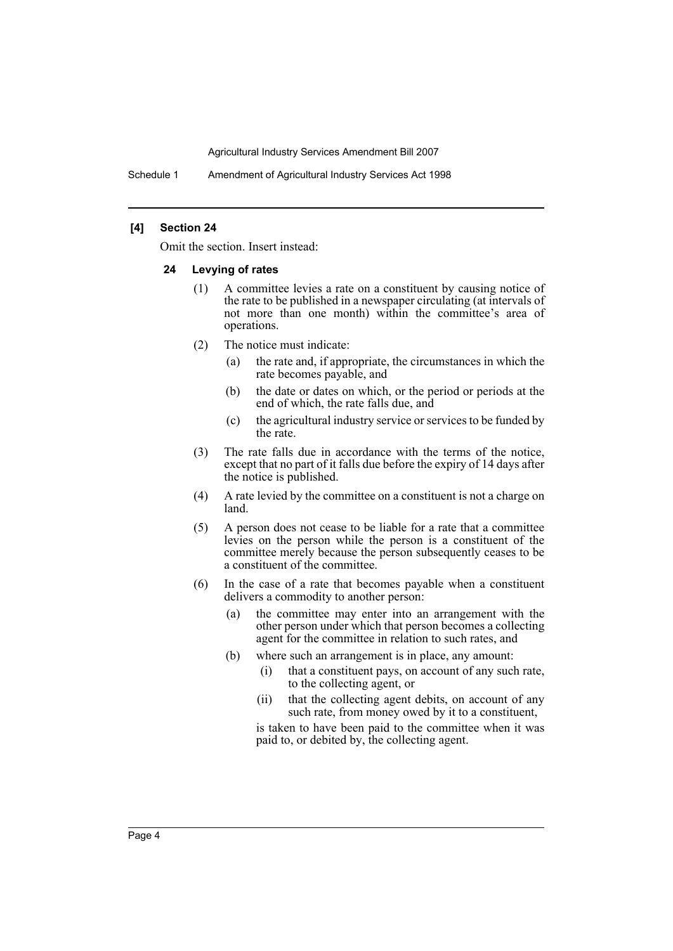Schedule 1 Amendment of Agricultural Industry Services Act 1998

#### **[4] Section 24**

Omit the section. Insert instead:

#### **24 Levying of rates**

- (1) A committee levies a rate on a constituent by causing notice of the rate to be published in a newspaper circulating (at intervals of not more than one month) within the committee's area of operations.
- (2) The notice must indicate:
	- (a) the rate and, if appropriate, the circumstances in which the rate becomes payable, and
	- (b) the date or dates on which, or the period or periods at the end of which, the rate falls due, and
	- (c) the agricultural industry service or services to be funded by the rate.
- (3) The rate falls due in accordance with the terms of the notice, except that no part of it falls due before the expiry of 14 days after the notice is published.
- (4) A rate levied by the committee on a constituent is not a charge on land.
- (5) A person does not cease to be liable for a rate that a committee levies on the person while the person is a constituent of the committee merely because the person subsequently ceases to be a constituent of the committee.
- (6) In the case of a rate that becomes payable when a constituent delivers a commodity to another person:
	- (a) the committee may enter into an arrangement with the other person under which that person becomes a collecting agent for the committee in relation to such rates, and
	- (b) where such an arrangement is in place, any amount:
		- (i) that a constituent pays, on account of any such rate, to the collecting agent, or
		- (ii) that the collecting agent debits, on account of any such rate, from money owed by it to a constituent,

is taken to have been paid to the committee when it was paid to, or debited by, the collecting agent.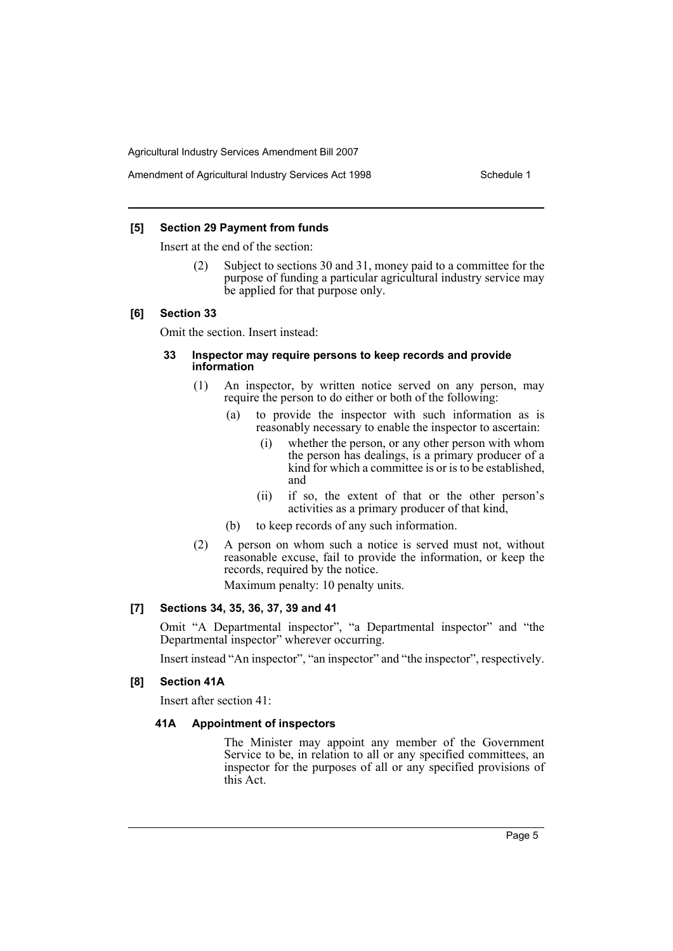#### Amendment of Agricultural Industry Services Act 1998 Schedule 1

#### **[5] Section 29 Payment from funds**

Insert at the end of the section:

(2) Subject to sections 30 and 31, money paid to a committee for the purpose of funding a particular agricultural industry service may be applied for that purpose only.

#### **[6] Section 33**

Omit the section. Insert instead:

#### **33 Inspector may require persons to keep records and provide information**

- (1) An inspector, by written notice served on any person, may require the person to do either or both of the following:
	- (a) to provide the inspector with such information as is reasonably necessary to enable the inspector to ascertain:
		- (i) whether the person, or any other person with whom the person has dealings, is a primary producer of a kind for which a committee is or is to be established, and
		- (ii) if so, the extent of that or the other person's activities as a primary producer of that kind,
	- (b) to keep records of any such information.
- (2) A person on whom such a notice is served must not, without reasonable excuse, fail to provide the information, or keep the records, required by the notice.

Maximum penalty: 10 penalty units.

#### **[7] Sections 34, 35, 36, 37, 39 and 41**

Omit "A Departmental inspector", "a Departmental inspector" and "the Departmental inspector" wherever occurring.

Insert instead "An inspector", "an inspector" and "the inspector", respectively.

#### **[8] Section 41A**

Insert after section 41:

#### **41A Appointment of inspectors**

The Minister may appoint any member of the Government Service to be, in relation to all or any specified committees, an inspector for the purposes of all or any specified provisions of this Act.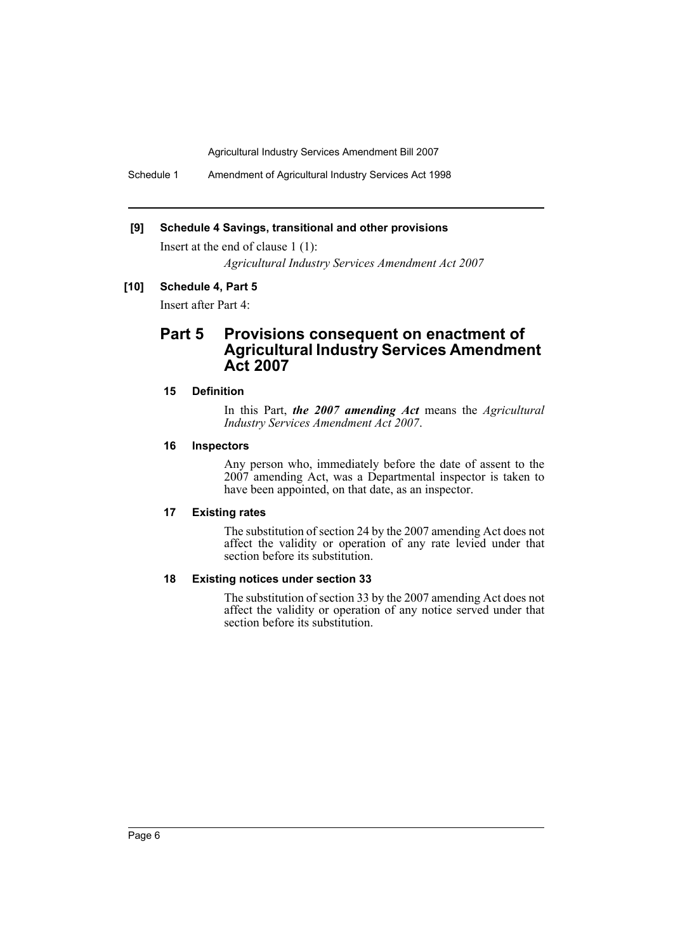Schedule 1 Amendment of Agricultural Industry Services Act 1998

#### **[9] Schedule 4 Savings, transitional and other provisions**

Insert at the end of clause 1 (1):

*Agricultural Industry Services Amendment Act 2007*

#### **[10] Schedule 4, Part 5**

Insert after Part 4:

### **Part 5 Provisions consequent on enactment of Agricultural Industry Services Amendment Act 2007**

#### **15 Definition**

In this Part, *the 2007 amending Act* means the *Agricultural Industry Services Amendment Act 2007*.

#### **16 Inspectors**

Any person who, immediately before the date of assent to the  $2007$  amending Act, was a Departmental inspector is taken to have been appointed, on that date, as an inspector.

#### **17 Existing rates**

The substitution of section 24 by the 2007 amending Act does not affect the validity or operation of any rate levied under that section before its substitution.

#### **18 Existing notices under section 33**

The substitution of section 33 by the 2007 amending Act does not affect the validity or operation of any notice served under that section before its substitution.